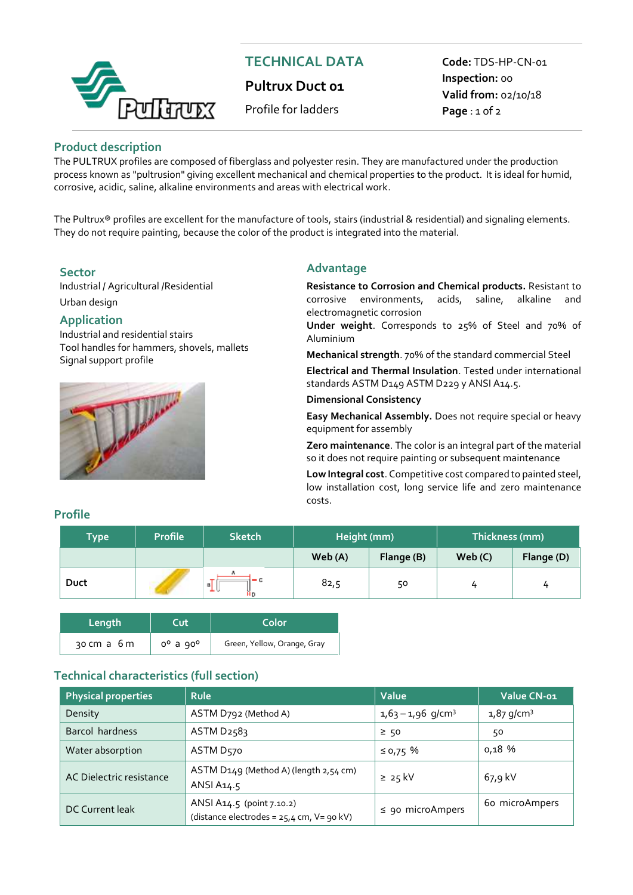

# **TECHNICAL DATA**

**Pultrux Duct 01** 

Profile for ladders

**Code:** TDS-HP-CN-01 **Inspection:** 00 **Valid from:** 02/10/18 **Page** : 1 of 2

### **Product description**

The PULTRUX profiles are composed of fiberglass and polyester resin. They are manufactured under the production process known as "pultrusion" giving excellent mechanical and chemical properties to the product. It is ideal for humid, corrosive, acidic, saline, alkaline environments and areas with electrical work.

The Pultrux® profiles are excellent for the manufacture of tools, stairs (industrial & residential) and signaling elements. They do not require painting, because the color of the product is integrated into the material.

Industrial / Agricultural /Residential Urban design

## **Application**

Industrial and residential stairs Tool handles for hammers, shovels, mallets Signal support profile



# **Sector Advantage**

**Resistance to Corrosion and Chemical products.** Resistant to corrosive environments, acids, saline, alkaline and electromagnetic corrosion

**Under weight**. Corresponds to 25% of Steel and 70% of Aluminium

**Mechanical strength**. 70% of the standard commercial Steel

**Electrical and Thermal Insulation**. Tested under international standards ASTM D149 ASTM D229 y ANSI A14.5.

#### **Dimensional Consistency**

**Easy Mechanical Assembly.** Does not require special or heavy equipment for assembly

**Zero maintenance**. The color is an integral part of the material so it does not require painting or subsequent maintenance

**Low Integral cost**. Competitive cost compared to painted steel, low installation cost, long service life and zero maintenance costs.

#### **Profile**

| <b>Type</b> | <b>Profile</b> | <b>Sketch</b> | Height (mm) |            | Thickness (mm) |            |
|-------------|----------------|---------------|-------------|------------|----------------|------------|
|             |                |               | Web (A)     | Flange (B) | Web(C)         | Flange (D) |
| Duct        |                | $- c$<br>≞ւ   | 82,5        | 50         | 4              | 4          |

| Length      | Cut            | 'Color.                     |  |  |
|-------------|----------------|-----------------------------|--|--|
| 30 cm a 6 m | $0^0$ a $90^0$ | Green, Yellow, Orange, Gray |  |  |

## **Technical characteristics (full section))**

| <b>Physical properties</b> | <b>Rule</b>                                                              | Value                           | Value CN-01              |
|----------------------------|--------------------------------------------------------------------------|---------------------------------|--------------------------|
| Density                    | ASTM D792 (Method A)                                                     | $1,63 - 1,96$ g/cm <sup>3</sup> | $1,87$ g/cm <sup>3</sup> |
| Barcol hardness            | ASTM D2583                                                               | $\geq$ 50                       | 50                       |
| Water absorption           | ASTM D <sub>570</sub>                                                    | ≤ 0,75%                         | 0,18 %                   |
| AC Dielectric resistance   | ASTM D149 (Method A) (length 2,54 cm)<br>ANSI A14.5                      | $\geq 25$ kV                    | 67,9 kV                  |
| DC Current leak            | ANSI A14.5 (point 7.10.2)<br>(distance electrodes = $25.4$ cm, V= 90 kV) | $\le$ 90 microAmpers            | 60 microAmpers           |